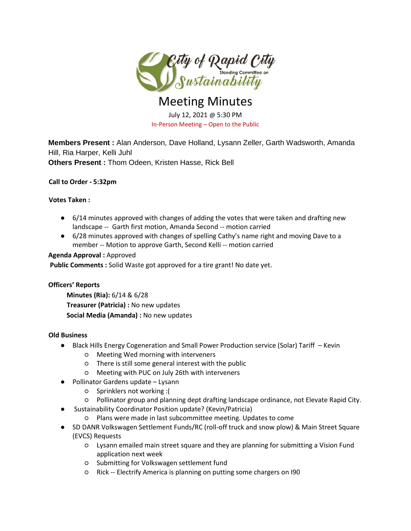

# Meeting Minutes July 12, 2021 @ 5:30 PM In-Person Meeting – Open to the Public

**Members Present :** Alan Anderson, Dave Holland, Lysann Zeller, Garth Wadsworth, Amanda Hill, Ria Harper, Kelli Juhl **Others Present :** Thom Odeen, Kristen Hasse, Rick Bell

### **Call to Order - 5:32pm**

#### **Votes Taken :**

- 6/14 minutes approved with changes of adding the votes that were taken and drafting new landscape -- Garth first motion, Amanda Second -- motion carried
- 6/28 minutes approved with changes of spelling Cathy's name right and moving Dave to a member -- Motion to approve Garth, Second Kelli -- motion carried

#### **Agenda Approval :** Approved

**Public Comments :** Solid Waste got approved for a tire grant! No date yet.

#### **Officers' Reports**

**Minutes (Ria):** 6/14 & 6/28 **Treasurer (Patricia) :** No new updates **Social Media (Amanda) :** No new updates

#### **Old Business**

- Black Hills Energy Cogeneration and Small Power Production service (Solar) Tariff Kevin
	- Meeting Wed morning with interveners
	- There is still some general interest with the public
	- Meeting with PUC on July 26th with interveners
- Pollinator Gardens update Lysann
	- Sprinklers not working :(
	- Pollinator group and planning dept drafting landscape ordinance, not Elevate Rapid City.
	- Sustainability Coordinator Position update? (Kevin/Patricia)
		- Plans were made in last subcommittee meeting. Updates to come
- SD DANR Volkswagen Settlement Funds/RC (roll-off truck and snow plow) & Main Street Square (EVCS) Requests
	- Lysann emailed main street square and they are planning for submitting a Vision Fund application next week
	- Submitting for Volkswagen settlement fund
	- Rick -- Electrify America is planning on putting some chargers on I90